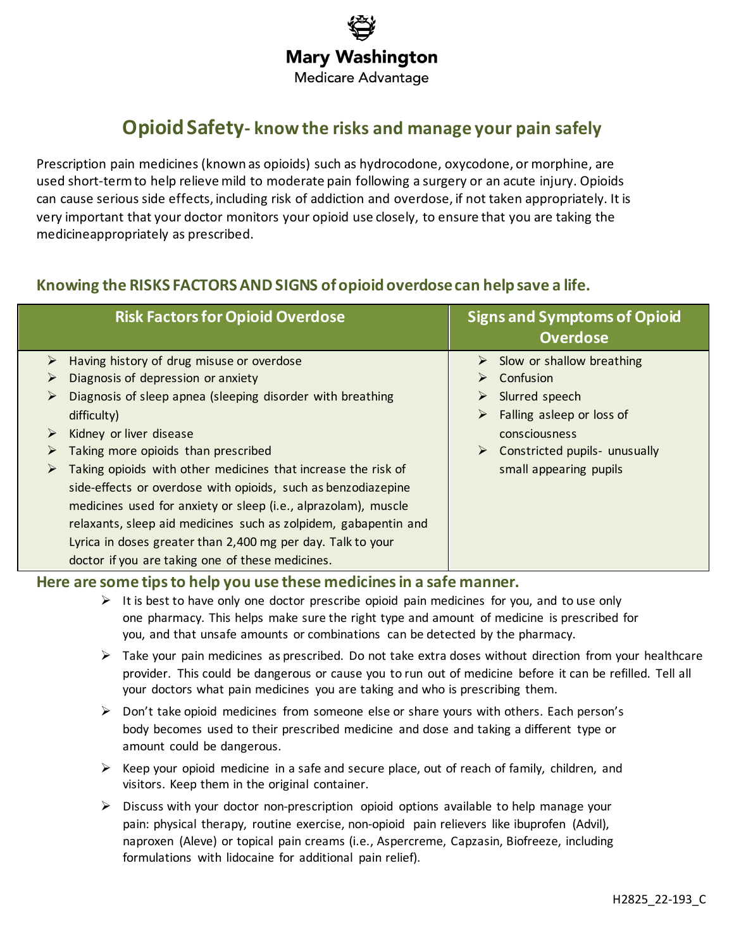# **Mary Washington**

**Medicare Advantage** 

# **OpioidSafety- know the risks and manage your pain safely**

Prescription pain medicines (known as opioids) such as hydrocodone, oxycodone, or morphine, are used short-term to help relieve mild to moderate pain following a surgery or an acute injury. Opioids can cause serious side effects, including risk of addiction and overdose, if not taken appropriately. It is very important that your doctor monitors your opioid use closely, to ensure that you are taking the medicineappropriately as prescribed.

## **Knowing the RISKS FACTORSANDSIGNS ofopioidoverdosecan helpsave a life.**

|   | <b>Risk Factors for Opioid Overdose</b>                         |                  | <b>Signs and Symptoms of Opioid</b><br><b>Overdose</b> |
|---|-----------------------------------------------------------------|------------------|--------------------------------------------------------|
| ➤ | Having history of drug misuse or overdose                       |                  | $\triangleright$ Slow or shallow breathing             |
|   | Diagnosis of depression or anxiety                              |                  | Confusion                                              |
| ⋗ | Diagnosis of sleep apnea (sleeping disorder with breathing      | $\triangleright$ | Slurred speech                                         |
|   | difficulty)                                                     |                  | $\triangleright$ Falling asleep or loss of             |
| ➤ | Kidney or liver disease                                         |                  | consciousness                                          |
| ➤ | Taking more opioids than prescribed                             |                  | $\triangleright$ Constricted pupils- unusually         |
| ➤ | Taking opioids with other medicines that increase the risk of   |                  | small appearing pupils                                 |
|   | side-effects or overdose with opioids, such as benzodiazepine   |                  |                                                        |
|   | medicines used for anxiety or sleep (i.e., alprazolam), muscle  |                  |                                                        |
|   | relaxants, sleep aid medicines such as zolpidem, gabapentin and |                  |                                                        |
|   | Lyrica in doses greater than 2,400 mg per day. Talk to your     |                  |                                                        |
|   | doctor if you are taking one of these medicines.                |                  |                                                        |

### **Here are some tipsto help you use these medicinesin a safe manner.**

- $\triangleright$  It is best to have only one doctor prescribe opioid pain medicines for you, and to use only one pharmacy. This helps make sure the right type and amount of medicine is prescribed for you, and that unsafe amounts or combinations can be detected by the pharmacy.
- $\triangleright$  Take your pain medicines as prescribed. Do not take extra doses without direction from your healthcare provider. This could be dangerous or cause you to run out of medicine before it can be refilled. Tell all your doctors what pain medicines you are taking and who is prescribing them.
- $\triangleright$  Don't take opioid medicines from someone else or share yours with others. Each person's body becomes used to their prescribed medicine and dose and taking a different type or amount could be dangerous.
- $\triangleright$  Keep your opioid medicine in a safe and secure place, out of reach of family, children, and visitors. Keep them in the original container.
- $\triangleright$  Discuss with your doctor non-prescription opioid options available to help manage your pain: physical therapy, routine exercise, non-opioid pain relievers like ibuprofen (Advil), naproxen (Aleve) or topical pain creams (i.e., Aspercreme, Capzasin, Biofreeze, including formulations with lidocaine for additional pain relief).